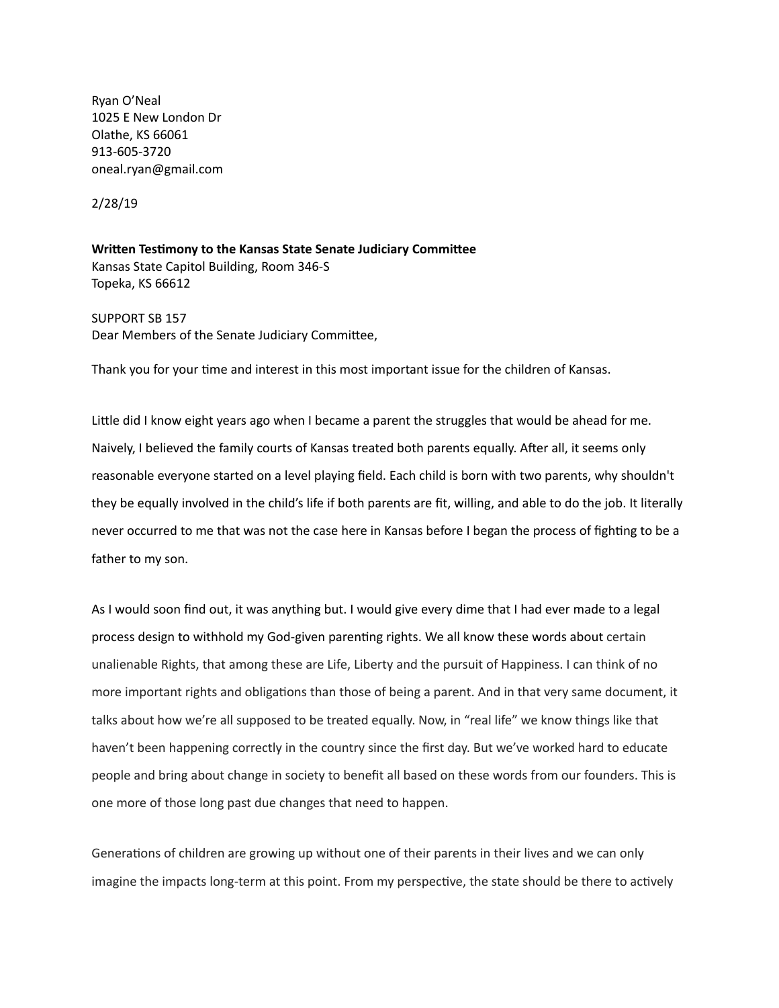Ryan O'Neal 1025 E New London Dr Olathe, KS 66061 913‑605‑3720 oneal.ryan@gmail.com

2/28/19

**Written Testimony to the Kansas State Senate Judiciary Committee** Kansas State Capitol Building, Room 346‑S Topeka, KS 66612

SUPPORT SB 157 Dear Members of the Senate Judiciary Committee,

Thank you for your time and interest in this most important issue for the children of Kansas.

Little did I know eight years ago when I became a parent the struggles that would be ahead for me. Naively, I believed the family courts of Kansas treated both parents equally. After all, it seems only reasonable everyone started on a level playing field. Each child is born with two parents, why shouldn't they be equally involved in the child's life if both parents are fit, willing, and able to do the job. It literally never occurred to me that was not the case here in Kansas before I began the process of fighting to be a father to my son.

As I would soon find out, it was anything but. I would give every dime that I had ever made to a legal process design to withhold my God-given parenting rights. We all know these words about certain unalienable Rights, that among these are Life, Liberty and the pursuit of Happiness. I can think of no more important rights and obligations than those of being a parent. And in that very same document, it talks about how we're all supposed to be treated equally. Now, in "real life" we know things like that haven't been happening correctly in the country since the first day. But we've worked hard to educate people and bring about change in society to benefit all based on these words from our founders. This is one more of those long past due changes that need to happen.

Generations of children are growing up without one of their parents in their lives and we can only imagine the impacts long-term at this point. From my perspective, the state should be there to actively